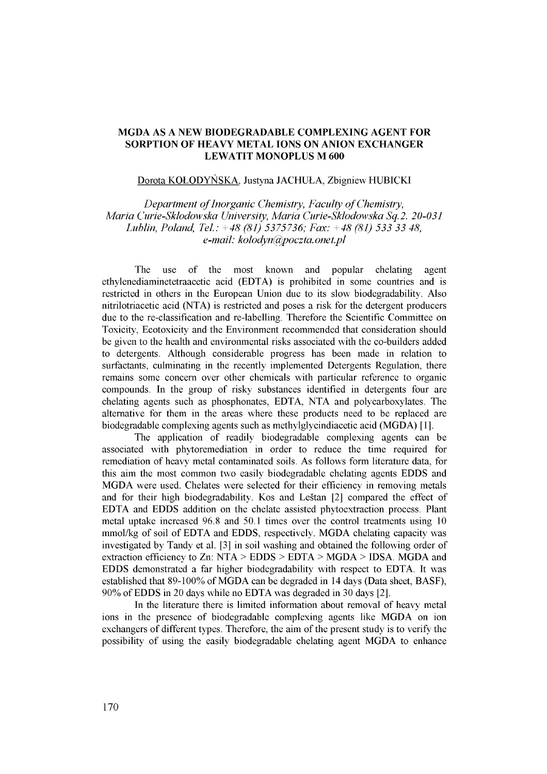# **MGDA AS A NEW BIODEGRADABLE COMPLEXING AGENT FOR SORPTION OF HEAVY METAL IONS ON ANION EXCHANGER LEWATIT MONOPLUS M 600**

#### Dorota KOLODYNSKA. Justyna JACHULA, Zbigniew HUBICKI

*Department of Inorganic Chemistry, Faculty of Chemistry, Maria Curie-Sklodowska University, Maria Curie-Sklodowska Sq.2. 20-031 Lublin, Poland, Tel: +48 (81) 5375736; Fax: +48 (81) 533 33 48, e-mail: [kolodyn@poczta.onet.pl](mailto:kolodyn@poczta.onet.pl)* 

The use of the most known and popular chelating agent ethylenediaminetetraacetic acid (EDTA) is prohibited in some countries and is restricted in others in the European Union due to its slow biodegradability. Also nitrilotriacetic acid (NTA) is restricted and poses a risk for the detergent producers due to the re-classification and re-labelling. Therefore the Scientific Committee on Toxicity, Ecotoxicity and the Environment recommended that consideration should be given to the health and environmental risks associated with the co-builders added to detergents. Although considerable progress has been made in relation to surfactants, culminating in the recently implemented Detergents Regulation, there remains some concern over other chemicals with particular reference to organic compounds. In the group of risky substances identified in detergents four are chelating agents such as phosphonates, EDTA, NTA and polycarboxylates. The alternative for them in the areas where these products need to be replaced are biodegradable complexing agents such as methylglycindiacetic acid (MGDA) [1].

The application of readily biodegradable complexing agents can be associated with phytoremediation in order to reduce the time required for remediation of heavy metal contaminated soils. As follows form literature data, for this aim the most common two easily biodegradable chelating agents EDDS and MGDA were used. Chelates were selected for their efficiency in removing metals and for their high biodegradability. Kos and Lestan [2] compared the effect of EDTA and EDDS addition on the chelate assisted phytoextraction process. Plant metal uptake increased 96.8 and 50.1 times over the control treatments using 10 mmol/kg of soil of EDTA and EDDS, respectively. MGDA chelating capacity was investigated by Tandy et al. [3] in soil washing and obtained the following order of extraction efficiency to Zn: NTA > EDDS > EDTA > MGDA > IDSA. MGDA and EDDS demonstrated a far higher biodegradability with respect to EDTA. It was established that 89-100% of MGDA can be degraded in 14 days (Data sheet, BASF), 90% of EDDS in 20 days while no EDTA was degraded in 30 days [2].

In the literature there is limited information about removal of heavy metal ions in the presence of biodegradable complexing agents like MGDA on ion exchangers of different types. Therefore, the aim of the present study is to verify the possibility of using the easily biodegradable chelating agent MGDA to enhance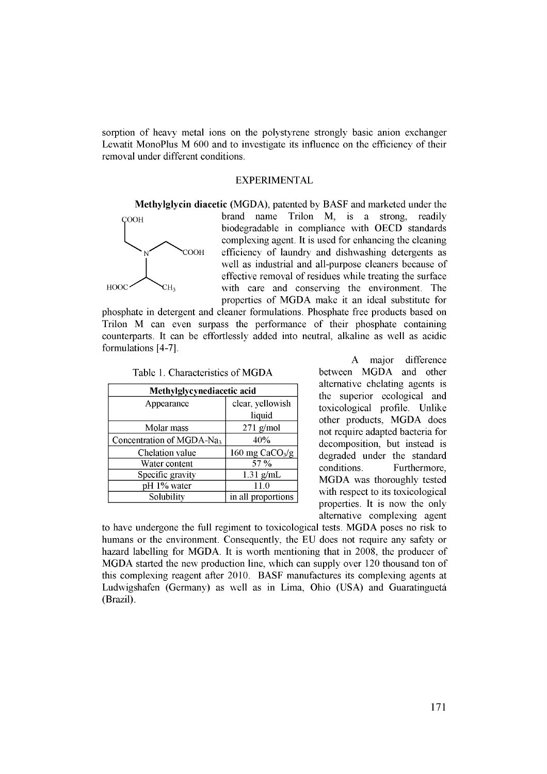sorption of heavy metal ions on the polystyrene strongly basic anion exchanger Lewatit MonoPlus M 600 and to investigate its influence on the efficiency of their removal under different conditions.

# EXPERIMENTAL



**Methylglycin diacetic** (MGDA), patented by BASF and marketed under the brand name Trilon M, is a strong, readily biodegradable in compliance with OECD standards complexing agent. It is used for enhancing the cleaning COOH efficiency of laundry and dishwashing detergents as well as industrial and all-purpose cleaners because of effective removal of residues while treating the surface with care and conserving the environment. The properties of MGDA make it an ideal substitute for

phosphate in detergent and cleaner formulations. Phosphate free products based on Trilon M can even surpass the performance of their phosphate containing counterparts. It can be effortlessly added into neutral, alkaline as well as acidic formulations [4-7].

| Methylglycynediacetic acid            |                             |  |  |  |
|---------------------------------------|-----------------------------|--|--|--|
| Appearance                            | clear, yellowish            |  |  |  |
|                                       | liquid                      |  |  |  |
| Molar mass                            | $271$ g/mol                 |  |  |  |
| Concentration of MGDA-Na <sub>3</sub> | 40%                         |  |  |  |
| Chelation value                       | 160 mg CaCO <sub>3</sub> /g |  |  |  |
| Water content                         | 57 %                        |  |  |  |
| Specific gravity                      | $1.31$ g/mL                 |  |  |  |
| pH 1% water                           | 11.0                        |  |  |  |
| Solubility                            | in all proportions          |  |  |  |

Table 1. Characteristics of MGDA

A major difference between MGDA and other alternative chelating agents is the superior ecological and toxicological profile. Unlike other products, MGDA does not require adapted bacteria for decomposition, but instead is degraded under the standard conditions. Furthermore, MGDA was thoroughly tested with respect to its toxicological properties. It is now the only alternative complexing agent

to have undergone the full regiment to toxicological tests. MGDA poses no risk to humans or the environment. Consequently, the EU does not require any safety or hazard labelling for MGDA. It is worth mentioning that in 2008, the producer of MGDA started the new production line, which can supply over 120 thousand ton of this complexing reagent after 2010. BASF manufactures its complexing agents at Ludwigshafen (Germany) as well as in Lima, Ohio (USA) and Guaratingueta (Brazil).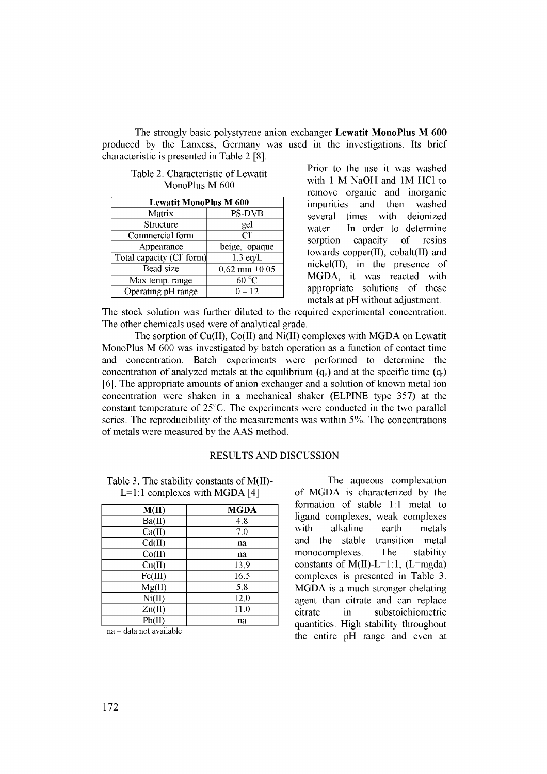The strongly basic polystyrene anion exchanger Lewatit MonoPlus M 600 produced by the Lanxess, Germany was used in the investigations. Its brief characteristic is presented in Table 2 [8].

Table 2. Characteristic of Lewatit MonoPlus M 600

| <b>Lewatit MonoPlus M 600</b> |                      |  |  |  |
|-------------------------------|----------------------|--|--|--|
| Matrix                        | <b>PS-DVB</b>        |  |  |  |
| Structure                     | gel                  |  |  |  |
| Commercial form               | $CI^{-}$             |  |  |  |
| Appearance                    | beige, opaque        |  |  |  |
| Total capacity (CI form)      | $1.3 \text{ eq/L}$   |  |  |  |
| Bead size                     | $0.62$ mm $\pm 0.05$ |  |  |  |
| Max temp. range               | 60 °C                |  |  |  |
| Operating pH range            | $0 - 12$             |  |  |  |

Prior to the use it was washed with 1 M NaOH and 1M HC1 to remove organic and inorganic impurities and then washed several times with deionized water. In order to determine sorption capacity of resins towards copper(II), cobalt(II) and nickel(II), in the presence of MGDA, it was reacted with appropriate solutions of these metals at pH without adjustment.

The stock solution was further diluted to the required experimental concentration. The other chemicals used were of analytical grade.

The sorption of Cu(II), Co(II) and Ni(II) complexes with MGDA on Lewatit MonoPlus M 600 was investigated by batch operation as a function of contact time and concentration. Batch experiments were performed to determine the concentration of analyzed metals at the equilibrium  $(q_e)$  and at the specific time  $(q_t)$ [6]. The appropriate amounts of anion exchanger and a solution of known metal ion concentration were shaken in a mechanical shaker (ELPINE type 357) at the constant temperature of 25°C. The experiments were conducted in the two parallel series. The reproducibility of the measurements was within 5%. The concentrations of metals were measured by the AAS method.

# RESULTS AND DISCUSSION

Table 3. The stability constants of M(II)-  $L=1:1$  complexes with MGDA [4]

| M(II)   | <b>MGDA</b> |
|---------|-------------|
| Ba(II)  | 4.8         |
| Ca(II)  | 7,0         |
| Cd(II)  | na          |
| Co(II)  | na          |
| Cu(II)  | 13.9        |
| Fe(III) | 16,5        |
| Mg(II)  | 5,8         |
| Ni(II)  | 12,0        |
| Zn(II)  | 11,0        |
| Pb(II)  | na          |

na - data not available

The aqueous complexation of MGDA is characterized by the formation of stable 1:1 metal to ligand complexes, weak complexes with alkaline earth metals and the stable transition metal monocomplexes. The stability constants of  $M(II)-L=1:1$ ,  $(L=mgda)$ complexes is presented in Table 3. MGDA is a much stronger chelating agent than citrate and can replace citrate in substoichiometric quantities. High stability throughout the entire pH range and even at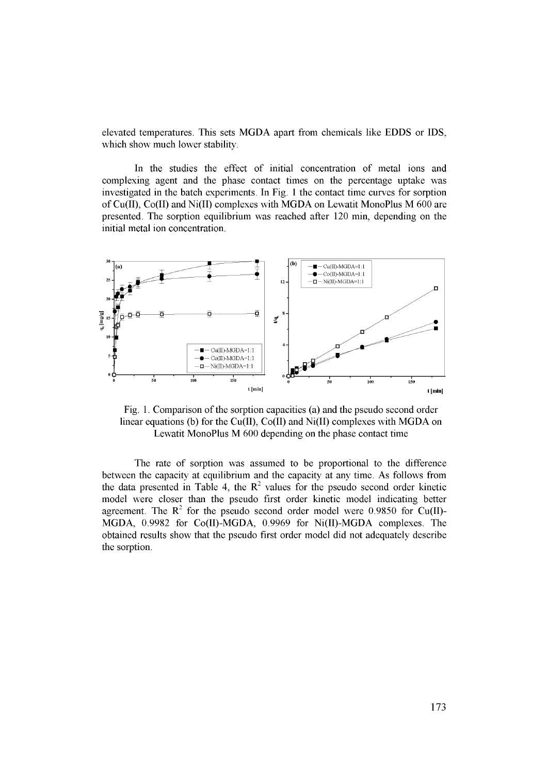elevated temperatures. This sets MGDA apart from chemicals like EDDS or IDS, which show much lower stability.

In the studies the effect of initial concentration of metal ions and complexing agent and the phase contact times on the percentage uptake was investigated in the batch experiments. In Fig. 1 the contact time curves for sorption of Cu(II), Co(II) and Ni(II) complexes with MGDA on Lewatit MonoPlus M 600 are presented. The sorption equilibrium was reached after 120 min, depending on the initial metal ion concentration.



Fig. 1. Comparison of the sorption capacities (a) and the pseudo second order linear equations (b) for the Cu(II), Co(II) and Ni(II) complexes with MGDA on Lewatit MonoPlus M 600 depending on the phase contact time

The rate of sorption was assumed to be proportional to the difference between the capacity at equilibrium and the capacity at any time. As follows from the data presented in Table 4, the  $\mathbb{R}^2$  values for the pseudo second order kinetic model were closer than the pseudo first order kinetic model indicating better agreement. The  $R^2$  for the pseudo second order model were 0.9850 for Cu(II)-MGDA, 0.9982 for Co(II)-MGDA, 0.9969 for Ni(II)-MGDA complexes. The obtained results show that the pseudo first order model did not adequately describe the sorption.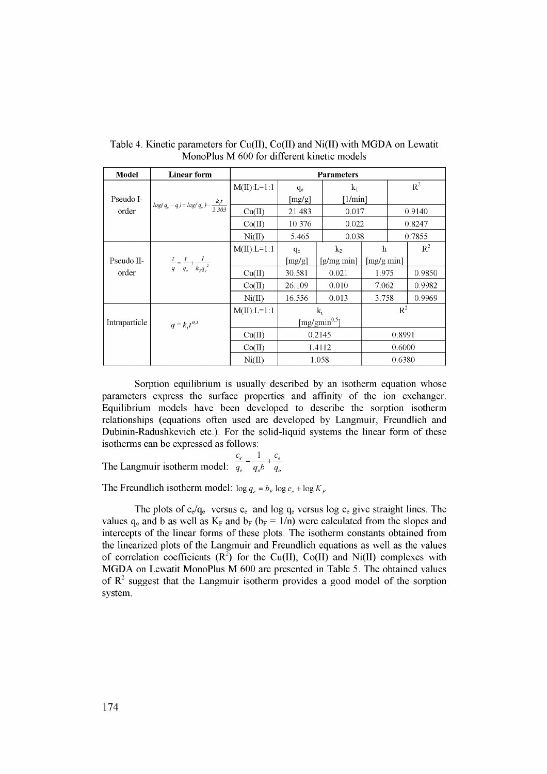| Model         | <b>Linear form</b>                               | <b>Parameters</b> |                     |                |               |       |        |  |
|---------------|--------------------------------------------------|-------------------|---------------------|----------------|---------------|-------|--------|--|
| Pseudo I-     |                                                  | $M(II):L=1:1$     | $q_e$               | $k_1$          |               | $R^2$ |        |  |
|               |                                                  |                   | [mg/g]              |                | [1/min]       |       |        |  |
| order         | $log(q_e - q) = log(q_e) - \frac{k_i t}{2.303}$  | Cu(II)            | 21.483              |                | 0.017         |       | 0.9140 |  |
|               |                                                  | Co(II)            | 10.376              |                | 0.022         |       | 0.8247 |  |
|               |                                                  | Ni(II)            | 5.465               |                | 0.038         |       | 0.7855 |  |
|               |                                                  | $M(II):L=1:1$     | $q_e$               | k <sub>2</sub> | h             |       | $R^2$  |  |
| Pseudo II-    | $rac{t}{q} = \frac{t}{q_e} + \frac{1}{k_2q_e^2}$ |                   | [mg/g]              | $[g/mg \min]$  | $[mg/g \min]$ |       |        |  |
| order         |                                                  | Cu(II)            | 30.581              | 0.021          | 1.975         |       | 0.9850 |  |
|               |                                                  | Co(II)            | 26.109              | 0.010          | 7.062         |       | 0.9982 |  |
|               |                                                  | Ni(II)            | 16.556              | 0.013          | 3.758         |       | 0.9969 |  |
|               |                                                  | $M(II):L=1:1$     | k                   |                | $R^2$         |       |        |  |
| Intraparticle | $q = k_i t^{0.5}$                                |                   | [mg/gmin $^{0.5}$ ] |                |               |       |        |  |
|               |                                                  | Cu(II)            | 0.2145              |                | 0.8991        |       |        |  |
|               |                                                  | Co(II)            | 1.4112              |                | 0.6000        |       |        |  |
|               |                                                  | Ni(II)            | 1.058               |                | 0.6380        |       |        |  |

Table 4. Kinetic parameters for  $Cu(II)$ ,  $Co(II)$  and  $Ni(II)$  with MGDA on Lewatit MonoPlus M 600 for different kinetic models

Sorption equilibrium is usually described by an isotherm equation whose parameters express the surface properties and affinity of the ion exchanger. Equilibrium models have been developed to describe the sorption isotherm relationships (equations often used are developed by Langmuir, Freundlich and Dubinin-Radushkevich etc.). For the solid-liquid systems the linear form of these isotherms can be expressed as follows:

The Langmuir isotherm model:  $\frac{c_e}{q_e} = \frac{1}{q_o b} + \frac{c_e}{q_o}$ 

The Freundlich isotherm model:  $\log q_e = b_F \log c_e + \log K_F$ 

The plots of  $c_e/q_e$  versus  $c_e$  and log  $q_e$  versus log  $c_e$  give straight lines. The values  $q_0$  and b as well as  $K_F$  and  $b_F$  ( $b_F = 1/n$ ) were calculated from the slopes and intercepts of the linear forms of these plots. The isotherm constants obtained from the linearized plots of the Langmuir and Freundlich equations as well as the values of correlation coefficients  $(R^2)$  for the Cu(II), Co(II) and Ni(II) complexes with MGDA on Lewatit MonoPlus M 600 are presented in Table 5. The obtained values of  $\mathbb{R}^2$  suggest that the Langmuir isotherm provides a good model of the sorption system.